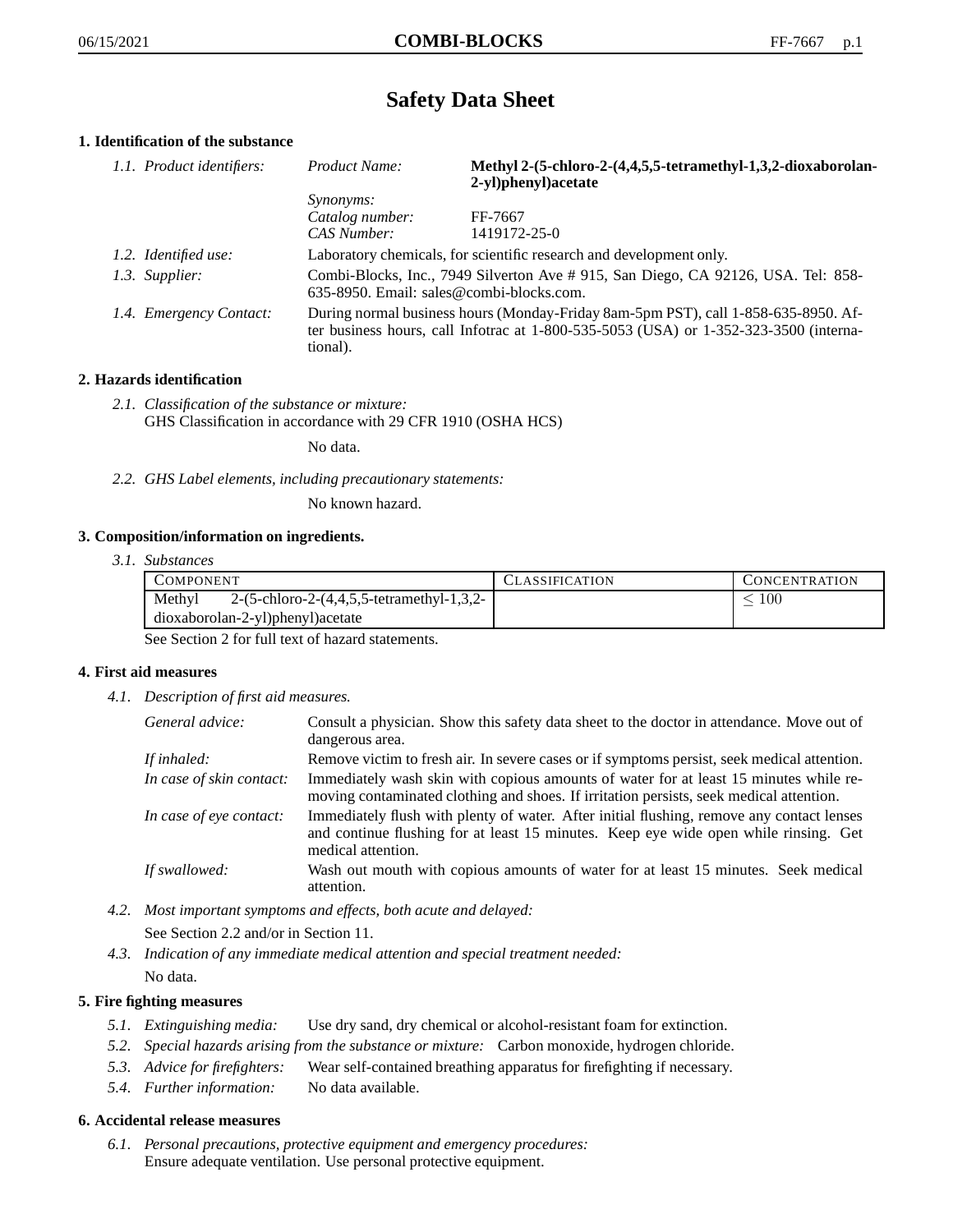# **Safety Data Sheet**

# **1. Identification of the substance**

| 1.1. Product identifiers: | Product Name:                                                                                                                                                                           | Methyl 2-(5-chloro-2-(4,4,5,5-tetramethyl-1,3,2-dioxaborolan-<br>2-yl)phenyl)acetate |
|---------------------------|-----------------------------------------------------------------------------------------------------------------------------------------------------------------------------------------|--------------------------------------------------------------------------------------|
|                           | <i>Synonyms:</i>                                                                                                                                                                        |                                                                                      |
|                           | Catalog number:                                                                                                                                                                         | FF-7667                                                                              |
|                           | CAS Number:                                                                                                                                                                             | 1419172-25-0                                                                         |
| 1.2. Identified use:      |                                                                                                                                                                                         | Laboratory chemicals, for scientific research and development only.                  |
| 1.3. Supplier:            | Combi-Blocks, Inc., 7949 Silverton Ave # 915, San Diego, CA 92126, USA. Tel: 858-<br>635-8950. Email: sales@combi-blocks.com.                                                           |                                                                                      |
| 1.4. Emergency Contact:   | During normal business hours (Monday-Friday 8am-5pm PST), call 1-858-635-8950. Af-<br>ter business hours, call Infotrac at 1-800-535-5053 (USA) or 1-352-323-3500 (interna-<br>tional). |                                                                                      |

# **2. Hazards identification**

*2.1. Classification of the substance or mixture:* GHS Classification in accordance with 29 CFR 1910 (OSHA HCS)

No data.

*2.2. GHS Label elements, including precautionary statements:*

No known hazard.

## **3. Composition/information on ingredients.**

*3.1. Substances*

| COMPONENT                                                    | LLASSIFICATION. | CONCENTRATION |
|--------------------------------------------------------------|-----------------|---------------|
| Methyl<br>2- $(5$ -chloro-2- $(4,4,5,5)$ -tetramethyl-1,3,2- |                 | 100           |
| dioxaborolan-2-yl)phenyl)acetate                             |                 |               |

See Section 2 for full text of hazard statements.

## **4. First aid measures**

*4.1. Description of first aid measures.*

| General advice:          | Consult a physician. Show this safety data sheet to the doctor in attendance. Move out of<br>dangerous area.                                                                                            |
|--------------------------|---------------------------------------------------------------------------------------------------------------------------------------------------------------------------------------------------------|
| If inhaled:              | Remove victim to fresh air. In severe cases or if symptoms persist, seek medical attention.                                                                                                             |
| In case of skin contact: | Immediately wash skin with copious amounts of water for at least 15 minutes while re-<br>moving contaminated clothing and shoes. If irritation persists, seek medical attention.                        |
| In case of eye contact:  | Immediately flush with plenty of water. After initial flushing, remove any contact lenses<br>and continue flushing for at least 15 minutes. Keep eye wide open while rinsing. Get<br>medical attention. |
| If swallowed:            | Wash out mouth with copious amounts of water for at least 15 minutes. Seek medical<br>attention.                                                                                                        |

- *4.2. Most important symptoms and effects, both acute and delayed:* See Section 2.2 and/or in Section 11.
- *4.3. Indication of any immediate medical attention and special treatment needed:* No data.

## **5. Fire fighting measures**

- *5.1. Extinguishing media:* Use dry sand, dry chemical or alcohol-resistant foam for extinction.
- *5.2. Special hazards arising from the substance or mixture:* Carbon monoxide, hydrogen chloride.
- *5.3. Advice for firefighters:* Wear self-contained breathing apparatus for firefighting if necessary.
- *5.4. Further information:* No data available.

## **6. Accidental release measures**

*6.1. Personal precautions, protective equipment and emergency procedures:* Ensure adequate ventilation. Use personal protective equipment.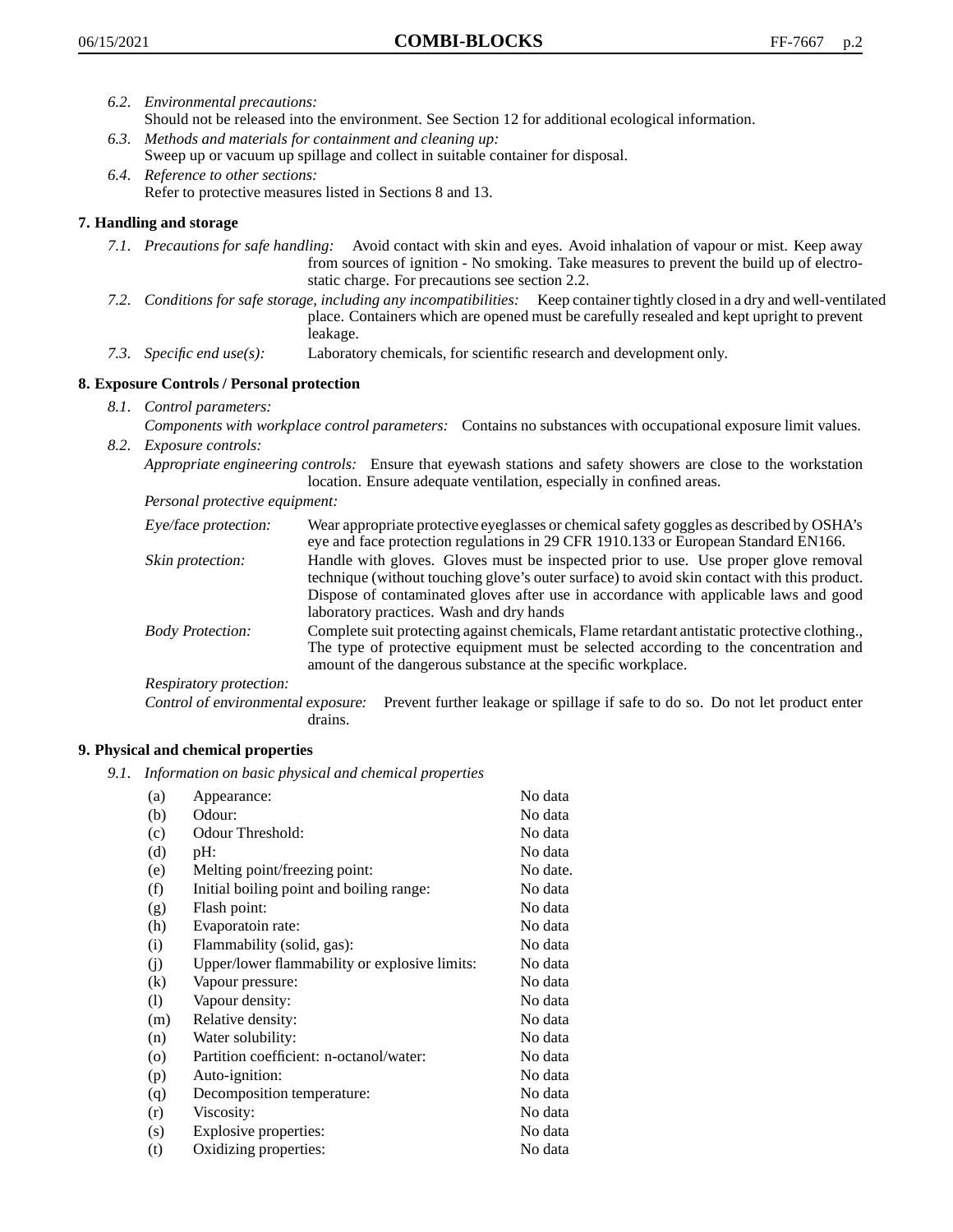- *6.2. Environmental precautions:* Should not be released into the environment. See Section 12 for additional ecological information.
- *6.3. Methods and materials for containment and cleaning up:* Sweep up or vacuum up spillage and collect in suitable container for disposal.
- *6.4. Reference to other sections:* Refer to protective measures listed in Sections 8 and 13.

# **7. Handling and storage**

- *7.1. Precautions for safe handling:* Avoid contact with skin and eyes. Avoid inhalation of vapour or mist. Keep away from sources of ignition - No smoking. Take measures to prevent the build up of electrostatic charge. For precautions see section 2.2.
- *7.2. Conditions for safe storage, including any incompatibilities:* Keep container tightly closed in a dry and well-ventilated place. Containers which are opened must be carefully resealed and kept upright to prevent leakage.
- *7.3. Specific end use(s):* Laboratory chemicals, for scientific research and development only.

# **8. Exposure Controls / Personal protection**

- *8.1. Control parameters:*
- *Components with workplace control parameters:* Contains no substances with occupational exposure limit values. *8.2. Exposure controls:*

*Appropriate engineering controls:* Ensure that eyewash stations and safety showers are close to the workstation location. Ensure adequate ventilation, especially in confined areas.

*Personal protective equipment:*

| Eye/face protection:    | Wear appropriate protective eyeglasses or chemical safety goggles as described by OSHA's<br>eye and face protection regulations in 29 CFR 1910.133 or European Standard EN166.                                                                                                                                         |
|-------------------------|------------------------------------------------------------------------------------------------------------------------------------------------------------------------------------------------------------------------------------------------------------------------------------------------------------------------|
| Skin protection:        | Handle with gloves. Gloves must be inspected prior to use. Use proper glove removal<br>technique (without touching glove's outer surface) to avoid skin contact with this product.<br>Dispose of contaminated gloves after use in accordance with applicable laws and good<br>laboratory practices. Wash and dry hands |
| <b>Body Protection:</b> | Complete suit protecting against chemicals, Flame retardant antistatic protective clothing.,<br>The type of protective equipment must be selected according to the concentration and<br>amount of the dangerous substance at the specific workplace.                                                                   |
| Respiratory protection: |                                                                                                                                                                                                                                                                                                                        |

Control of environmental exposure: Prevent further leakage or spillage if safe to do so. Do not let product enter drains.

# **9. Physical and chemical properties**

*9.1. Information on basic physical and chemical properties*

| (a)      | Appearance:                                   | No data  |
|----------|-----------------------------------------------|----------|
| (b)      | Odour:                                        | No data  |
| (c)      | Odour Threshold:                              | No data  |
| (d)      | pH:                                           | No data  |
| (e)      | Melting point/freezing point:                 | No date. |
| (f)      | Initial boiling point and boiling range:      | No data  |
| (g)      | Flash point:                                  | No data  |
| (h)      | Evaporatoin rate:                             | No data  |
| (i)      | Flammability (solid, gas):                    | No data  |
| (j)      | Upper/lower flammability or explosive limits: | No data  |
| $\rm(k)$ | Vapour pressure:                              | No data  |
| (1)      | Vapour density:                               | No data  |
| (m)      | Relative density:                             | No data  |
| (n)      | Water solubility:                             | No data  |
| $\circ$  | Partition coefficient: n-octanol/water:       | No data  |
| (p)      | Auto-ignition:                                | No data  |
| (q)      | Decomposition temperature:                    | No data  |
| (r)      | Viscosity:                                    | No data  |
| (s)      | Explosive properties:                         | No data  |
| (t)      | Oxidizing properties:                         | No data  |